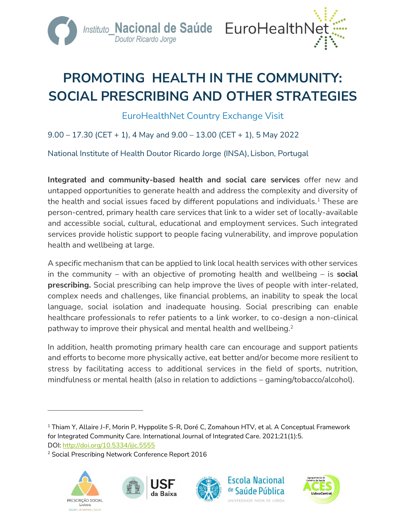

# **PROMOTING HEALTH IN THE COMMUNITY: SOCIAL PRESCRIBING AND OTHER STRATEGIES**

EuroHealthNet Country Exchange Visit

 $9.00 - 17.30$  (CET + 1), 4 May and  $9.00 - 13.00$  (CET + 1), 5 May 2022

National Institute of Health Doutor Ricardo Jorge (INSA), Lisbon, Portugal

**Integrated and community-based health and social care services** offer new and untapped opportunities to generate health and address the complexity and diversity of the health and social issues faced by different populations and individuals.<sup>1</sup> These are person-centred, primary health care services that link to a wider set of locally-available and accessible social, cultural, educational and employment services. Such integrated services provide holistic support to people facing vulnerability, and improve population health and wellbeing at large.

A specific mechanism that can be applied to link local health services with other services in the community – with an objective of promoting health and wellbeing – is **social prescribing.** Social prescribing can help improve the lives of people with inter-related, complex needs and challenges, like financial problems, an inability to speak the local language, social isolation and inadequate housing. Social prescribing can enable healthcare professionals to refer patients to a link worker, to co-design a non-clinical pathway to improve their physical and mental health and wellbeing.<sup>2</sup>

In addition, health promoting primary health care can encourage and support patients and efforts to become more physically active, eat better and/or become more resilient to stress by facilitating access to additional services in the field of sports, nutrition, mindfulness or mental health (also in relation to addictions – gaming/tobacco/alcohol).

<sup>2</sup> Social Prescribing Network Conference Report 2016











<sup>&</sup>lt;sup>1</sup> Thiam Y, Allaire J-F, Morin P, Hyppolite S-R, Doré C, Zomahoun HTV, et al. A Conceptual Framework for Integrated Community Care. International Journal of Integrated Care. 2021;21(1):5. DOI: <http://doi.org/10.5334/ijic.5555>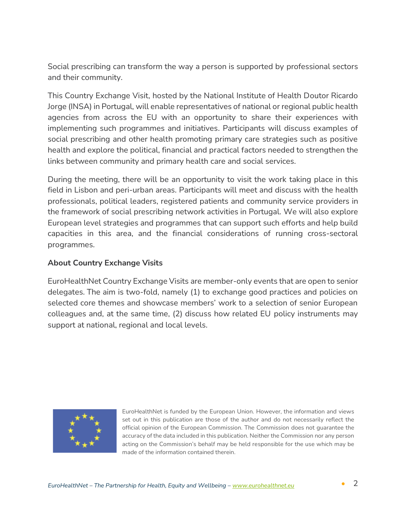Social prescribing can transform the way a person is supported by professional sectors and their community.

This Country Exchange Visit, hosted by the National Institute of Health Doutor Ricardo Jorge (INSA) in Portugal, will enable representatives of national or regional public health agencies from across the EU with an opportunity to share their experiences with implementing such programmes and initiatives. Participants will discuss examples of social prescribing and other health promoting primary care strategies such as positive health and explore the political, financial and practical factors needed to strengthen the links between community and primary health care and social services.

During the meeting, there will be an opportunity to visit the work taking place in this field in Lisbon and peri-urban areas. Participants will meet and discuss with the health professionals, political leaders, registered patients and community service providers in the framework of social prescribing network activities in Portugal. We will also explore European level strategies and programmes that can support such efforts and help build capacities in this area, and the financial considerations of running cross-sectoral programmes.

# **About Country Exchange Visits**

EuroHealthNet Country Exchange Visits are member-only events that are open to senior delegates. The aim is two-fold, namely (1) to exchange good practices and policies on selected core themes and showcase members' work to a selection of senior European colleagues and, at the same time, (2) discuss how related EU policy instruments may support at national, regional and local levels.



EuroHealthNet is funded by the European Union. However, the information and views set out in this publication are those of the author and do not necessarily reflect the official opinion of the European Commission. The Commission does not guarantee the accuracy of the data included in this publication. Neither the Commission nor any person acting on the Commission's behalf may be held responsible for the use which may be made of the information contained therein.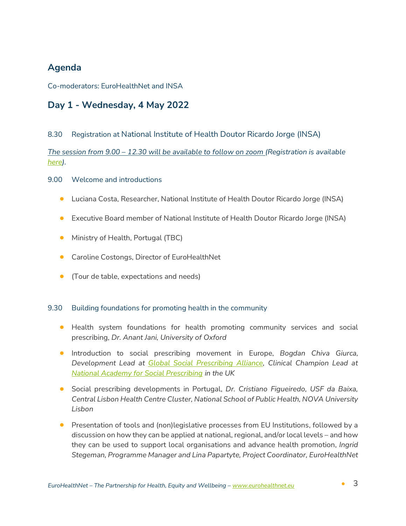# **Agenda**

Co-moderators: EuroHealthNet and INSA

# **Day 1 - Wednesday, 4 May 2022**

## 8.30 Registration at National Institute of Health Doutor Ricardo Jorge (INSA)

*The session from 9.00 – 12.30 will be available to follow on zoom (Registration is available [here\)](:%20https:/us06web.zoom.us/meeting/register/tZIld-GvqTsuG9Wq4zha9YvR1dNQHu9r52j1).*

## 9.00 Welcome and introductions

- Luciana Costa, Researcher, National Institute of Health Doutor Ricardo Jorge (INSA)
- Executive Board member of National Institute of Health Doutor Ricardo Jorge (INSA)
- Ministry of Health, Portugal (TBC)
- **•** Caroline Costongs, Director of EuroHealthNet
- (Tour de table, expectations and needs)

### 9.30 Building foundations for promoting health in the community

- Health system foundations for health promoting community services and social prescribing, *Dr. Anant Jani, University of Oxford*
- Introduction to social prescribing movement in Europe, *Bogdan Chiva Giurca, Development Lead at [Global Social Prescribing Alliance,](https://www.gspalliance.com/) Clinical Champion Lead at [National Academy for Social Prescribing](https://socialprescribingacademy.org.uk/) in the UK*
- Social prescribing developments in Portugal, *Dr. Cristiano Figueiredo, USF da Baixa, Central Lisbon Health Centre Cluster, National School of Public Health, NOVA University Lisbon*
- Presentation of tools and (non)legislative processes from EU Institutions, followed by a discussion on how they can be applied at national, regional, and/or local levels – and how they can be used to support local organisations and advance health promotion, *Ingrid Stegeman, Programme Manager and Lina Papartyte, Project Coordinator, EuroHealthNet*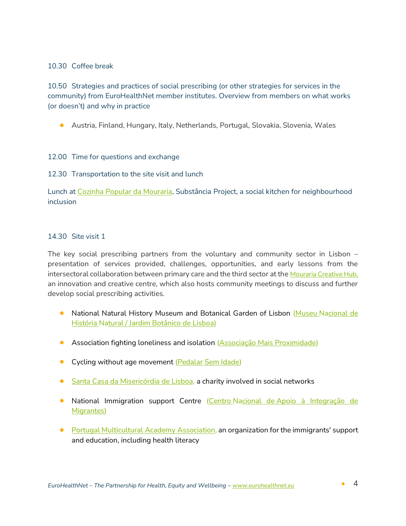## 10.30 Coffee break

10.50 Strategies and practices of social prescribing (or other strategies for services in the community) from EuroHealthNet member institutes. Overview from members on what works (or doesn't) and why in practice

• Austria, Finland, Hungary, Italy, Netherlands, Portugal, Slovakia, Slovenia, Wales

### 12.00 Time for questions and exchange

### 12.30 Transportation to the site visit and lunch

Lunch at [Cozinha Popular da Mouraria,](https://cooperativecity.org/2018/09/19/cozinha-popular-da-mouraria-a-social-kitchen-for-neighbourhood-inclusion/) Substância Project, a social kitchen for neighbourhood inclusion

### 14.30 Site visit 1

The key social prescribing partners from the voluntary and community sector in Lisbon – presentation of services provided, challenges, opportunities, and early lessons from the intersectoral collaboration between primary care and the third sector at the [Mouraria Creative Hub,](https://eur03.safelinks.protection.outlook.com/?url=http%3A%2F%2Fcreativehubmouraria.weebly.com%2Fo-lugar.html&data=04%7C01%7CLuciana.Costa%40insa.min-saude.pt%7C01e3de17021b436f77f708d9e7385fdb%7C22c84608f01d46c5802463cc962e5f51%7C0%7C0%7C637795051589048241%7CUnknown%7CTWFpbGZsb3d8eyJWIjoiMC4wLjAwMDAiLCJQIjoiV2luMzIiLCJBTiI6Ik1haWwiLCJXVCI6Mn0%3D%7C3000&sdata=J1CCHKpyeqn4GKGgX9m1Soj9AclTApZoVZ6mWcOPffk%3D&reserved=0) an innovation and creative centre, which also hosts community meetings to discuss and further develop social prescribing activities.

- **National Natural History Museum and Botanical Garden of Lisbon (Museu Nacional de** História [Natural / Jardim Botânico de](https://www.museus.ulisboa.pt/en) Lisboa)
- **•** Association fighting loneliness and isolation [\(Associação Mais Proximidade\)](https://www.maisproximidade.pt/)
- Cycling without age movement [\(Pedalar Sem Idade\)](https://pedalarsemidadeportugal.pt/)
- **[Santa Casa da Misericórdia de](https://en.scml.pt/) Lisboa**, a charity involved in social networks
- **•** National Immigration support Centre (Centro Nacional de Apoio à Integração de [Migrantes\)](https://www.acm.gov.pt/-/cnai-lisboa)
- [Portugal Multicultural](https://www.pmaapt.com/) Academy Association, an organization for the immigrants' support and education, including health literacy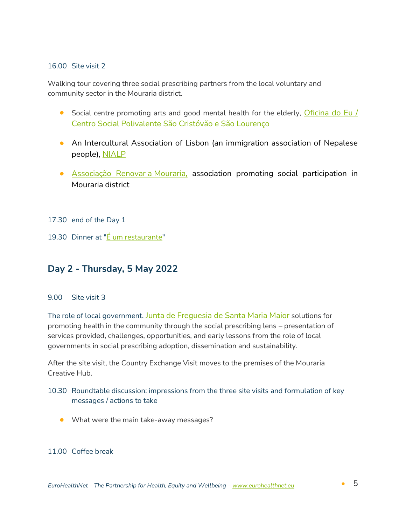#### 16.00 Site visit 2

Walking tour covering three social prescribing partners from the local voluntary and community sector in the Mouraria district.

- Social centre promoting arts and good mental health for the elderly, Oficina do Eu / Centro [Social Polivalente São Cristóvão e São Lourenço](https://scml.pt/acao-social/populacao-65/)
- An Intercultural Association of Lisbon (an immigration association of Nepalese people), [NIALP](https://nialp.pt/)
- [Associação Renovar](https://www.renovaramouraria.pt/) a Mouraria, association promoting social participation in Mouraria district
- 17.30 end of the Day 1
- 19.30 Dinner at "E um restaurante"

# **Day 2 - Thursday, 5 May 2022**

#### 9.00 Site visit 3

The role of local government. [Junta de Freguesia de Santa Maria Maior](https://www.jf-santamariamaior.pt/) solutions for promoting health in the community through the social prescribing lens – presentation of services provided, challenges, opportunities, and early lessons from the role of local governments in social prescribing adoption, dissemination and sustainability.

After the site visit, the Country Exchange Visit moves to the premises of the [Mouraria](https://eur03.safelinks.protection.outlook.com/?url=http%3A%2F%2Fcreativehubmouraria.weebly.com%2Fo-lugar.html&data=04%7C01%7CLuciana.Costa%40insa.min-saude.pt%7C01e3de17021b436f77f708d9e7385fdb%7C22c84608f01d46c5802463cc962e5f51%7C0%7C0%7C637795051589048241%7CUnknown%7CTWFpbGZsb3d8eyJWIjoiMC4wLjAwMDAiLCJQIjoiV2luMzIiLCJBTiI6Ik1haWwiLCJXVCI6Mn0%3D%7C3000&sdata=J1CCHKpyeqn4GKGgX9m1Soj9AclTApZoVZ6mWcOPffk%3D&reserved=0)  [Creative Hub.](https://eur03.safelinks.protection.outlook.com/?url=http%3A%2F%2Fcreativehubmouraria.weebly.com%2Fo-lugar.html&data=04%7C01%7CLuciana.Costa%40insa.min-saude.pt%7C01e3de17021b436f77f708d9e7385fdb%7C22c84608f01d46c5802463cc962e5f51%7C0%7C0%7C637795051589048241%7CUnknown%7CTWFpbGZsb3d8eyJWIjoiMC4wLjAwMDAiLCJQIjoiV2luMzIiLCJBTiI6Ik1haWwiLCJXVCI6Mn0%3D%7C3000&sdata=J1CCHKpyeqn4GKGgX9m1Soj9AclTApZoVZ6mWcOPffk%3D&reserved=0)

## 10.30 Roundtable discussion: impressions from the three site visits and formulation of key messages / actions to take

• What were the main take-away messages?

#### 11.00 Coffee break